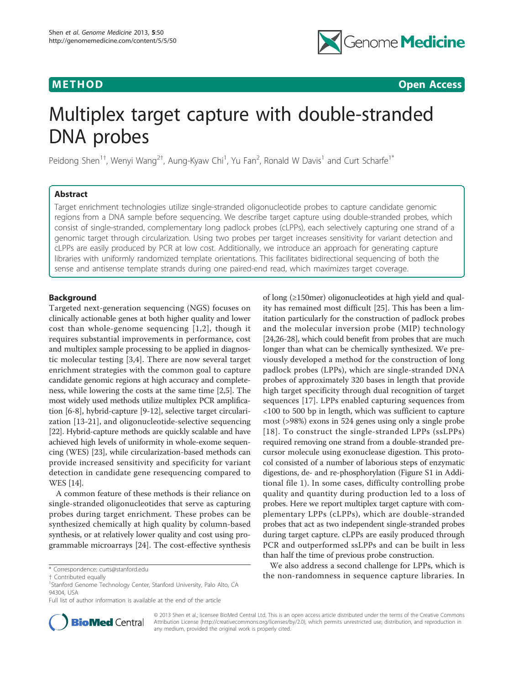

**METHOD CONSUMING ACCESS CONSUMING ACCESS** 

# Multiplex target capture with double-stranded DNA probes

Peidong Shen<sup>1†</sup>, Wenyi Wang<sup>2†</sup>, Aung-Kyaw Chi<sup>1</sup>, Yu Fan<sup>2</sup>, Ronald W Davis<sup>1</sup> and Curt Scharfe<sup>1\*</sup>

# Abstract

Target enrichment technologies utilize single-stranded oligonucleotide probes to capture candidate genomic regions from a DNA sample before sequencing. We describe target capture using double-stranded probes, which consist of single-stranded, complementary long padlock probes (cLPPs), each selectively capturing one strand of a genomic target through circularization. Using two probes per target increases sensitivity for variant detection and cLPPs are easily produced by PCR at low cost. Additionally, we introduce an approach for generating capture libraries with uniformly randomized template orientations. This facilitates bidirectional sequencing of both the sense and antisense template strands during one paired-end read, which maximizes target coverage.

# Background

Targeted next-generation sequencing (NGS) focuses on clinically actionable genes at both higher quality and lower cost than whole-genome sequencing [[1,2](#page-6-0)], though it requires substantial improvements in performance, cost and multiplex sample processing to be applied in diagnostic molecular testing [\[3](#page-6-0),[4\]](#page-6-0). There are now several target enrichment strategies with the common goal to capture candidate genomic regions at high accuracy and completeness, while lowering the costs at the same time [\[2,5](#page-6-0)]. The most widely used methods utilize multiplex PCR amplification [[6-8\]](#page-6-0), hybrid-capture [\[9](#page-6-0)-[12](#page-6-0)], selective target circularization [\[13](#page-6-0)-[21\]](#page-7-0), and oligonucleotide-selective sequencing [[22](#page-7-0)]. Hybrid-capture methods are quickly scalable and have achieved high levels of uniformity in whole-exome sequencing (WES) [\[23\]](#page-7-0), while circularization-based methods can provide increased sensitivity and specificity for variant detection in candidate gene resequencing compared to WES [\[14\]](#page-6-0).

A common feature of these methods is their reliance on single-stranded oligonucleotides that serve as capturing probes during target enrichment. These probes can be synthesized chemically at high quality by column-based synthesis, or at relatively lower quality and cost using programmable microarrays [[24\]](#page-7-0). The cost-effective synthesis of long (≥150mer) oligonucleotides at high yield and quality has remained most difficult [\[25](#page-7-0)]. This has been a limitation particularly for the construction of padlock probes and the molecular inversion probe (MIP) technology [[24,26-28](#page-7-0)], which could benefit from probes that are much longer than what can be chemically synthesized. We previously developed a method for the construction of long padlock probes (LPPs), which are single-stranded DNA probes of approximately 320 bases in length that provide high target specificity through dual recognition of target sequences [[17](#page-6-0)]. LPPs enabled capturing sequences from <100 to 500 bp in length, which was sufficient to capture most (>98%) exons in 524 genes using only a single probe [[18\]](#page-6-0). To construct the single-stranded LPPs (ssLPPs) required removing one strand from a double-stranded precursor molecule using exonuclease digestion. This protocol consisted of a number of laborious steps of enzymatic digestions, de- and re-phosphorylation (Figure S1 in Additional file [1\)](#page-6-0). In some cases, difficulty controlling probe quality and quantity during production led to a loss of probes. Here we report multiplex target capture with complementary LPPs (cLPPs), which are double-stranded probes that act as two independent single-stranded probes during target capture. cLPPs are easily produced through PCR and outperformed ssLPPs and can be built in less than half the time of previous probe construction.

We also address a second challenge for LPPs, which is the non-randomness in sequence [curts@stanford.edu](mailto:curts@stanford.edu)<br>the non-randomness in sequence capture libraries. In \* Contributed equally



© 2013 Shen et al.; licensee BioMed Central Ltd. This is an open access article distributed under the terms of the Creative Commons Attribution License [\(http://creativecommons.org/licenses/by/2.0](http://creativecommons.org/licenses/by/2.0)), which permits unrestricted use, distribution, and reproduction in any medium, provided the original work is properly cited.

<sup>†</sup> Contributed equally <sup>1</sup>

<sup>&</sup>lt;sup>1</sup>Stanford Genome Technology Center, Stanford University, Palo Alto, CA 94304, USA

Full list of author information is available at the end of the article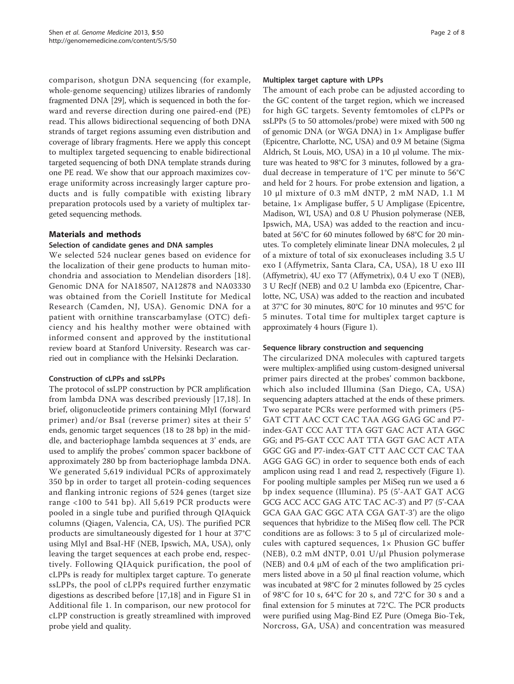comparison, shotgun DNA sequencing (for example, whole-genome sequencing) utilizes libraries of randomly fragmented DNA [[29](#page-7-0)], which is sequenced in both the forward and reverse direction during one paired-end (PE) read. This allows bidirectional sequencing of both DNA strands of target regions assuming even distribution and coverage of library fragments. Here we apply this concept to multiplex targeted sequencing to enable bidirectional targeted sequencing of both DNA template strands during one PE read. We show that our approach maximizes coverage uniformity across increasingly larger capture products and is fully compatible with existing library preparation protocols used by a variety of multiplex targeted sequencing methods.

# Materials and methods

# Selection of candidate genes and DNA samples

We selected 524 nuclear genes based on evidence for the localization of their gene products to human mitochondria and association to Mendelian disorders [[18](#page-6-0)]. Genomic DNA for NA18507, NA12878 and NA03330 was obtained from the Coriell Institute for Medical Research (Camden, NJ, USA). Genomic DNA for a patient with ornithine transcarbamylase (OTC) deficiency and his healthy mother were obtained with informed consent and approved by the institutional review board at Stanford University. Research was carried out in compliance with the Helsinki Declaration.

# Construction of cLPPs and ssLPPs

The protocol of ssLPP construction by PCR amplification from lambda DNA was described previously [\[17,18](#page-6-0)]. In brief, oligonucleotide primers containing MlyI (forward primer) and/or BsaI (reverse primer) sites at their 5' ends, genomic target sequences (18 to 28 bp) in the middle, and bacteriophage lambda sequences at 3' ends, are used to amplify the probes' common spacer backbone of approximately 280 bp from bacteriophage lambda DNA. We generated 5,619 individual PCRs of approximately 350 bp in order to target all protein-coding sequences and flanking intronic regions of 524 genes (target size range <100 to 541 bp). All 5,619 PCR products were pooled in a single tube and purified through QIAquick columns (Qiagen, Valencia, CA, US). The purified PCR products are simultaneously digested for 1 hour at 37°C using MlyI and BsaI-HF (NEB, Ipswich, MA, USA), only leaving the target sequences at each probe end, respectively. Following QIAquick purification, the pool of cLPPs is ready for multiplex target capture. To generate ssLPPs, the pool of cLPPs required further enzymatic digestions as described before [[17,18\]](#page-6-0) and in Figure S1 in Additional file [1](#page-6-0). In comparison, our new protocol for cLPP construction is greatly streamlined with improved probe yield and quality.

# Multiplex target capture with LPPs

The amount of each probe can be adjusted according to the GC content of the target region, which we increased for high GC targets. Seventy femtomoles of cLPPs or ssLPPs (5 to 50 attomoles/probe) were mixed with 500 ng of genomic DNA (or WGA DNA) in 1× Ampligase buffer (Epicentre, Charlotte, NC, USA) and 0.9 M betaine (Sigma Aldrich, St Louis, MO, USA) in a 10 μl volume. The mixture was heated to 98°C for 3 minutes, followed by a gradual decrease in temperature of 1°C per minute to 56°C and held for 2 hours. For probe extension and ligation, a 10 μl mixture of 0.3 mM dNTP, 2 mM NAD, 1.1 M betaine, 1× Ampligase buffer, 5 U Ampligase (Epicentre, Madison, WI, USA) and 0.8 U Phusion polymerase (NEB, Ipswich, MA, USA) was added to the reaction and incubated at 56°C for 60 minutes followed by 68°C for 20 minutes. To completely eliminate linear DNA molecules, 2 μl of a mixture of total of six exonucleases including 3.5 U exo I (Affymetrix, Santa Clara, CA, USA), 18 U exo III (Affymetrix), 4U exo T7 (Affymetrix), 0.4 U exo T (NEB), 3 U RecJf (NEB) and 0.2 U lambda exo (Epicentre, Charlotte, NC, USA) was added to the reaction and incubated at 37°C for 30 minutes, 80°C for 10 minutes and 95°C for 5 minutes. Total time for multiplex target capture is approximately 4 hours (Figure [1](#page-2-0)).

# Sequence library construction and sequencing

The circularized DNA molecules with captured targets were multiplex-amplified using custom-designed universal primer pairs directed at the probes' common backbone, which also included Illumina (San Diego, CA, USA) sequencing adapters attached at the ends of these primers. Two separate PCRs were performed with primers (P5- GAT CTT AAC CCT CAC TAA AGG GAG GC and P7 index-GAT CCC AAT TTA GGT GAC ACT ATA GGC GG; and P5-GAT CCC AAT TTA GGT GAC ACT ATA GGC GG and P7-index-GAT CTT AAC CCT CAC TAA AGG GAG GC) in order to sequence both ends of each amplicon using read 1 and read 2, respectively (Figure [1](#page-2-0)). For pooling multiple samples per MiSeq run we used a 6 bp index sequence (Illumina). P5 (5'-AAT GAT ACG GCG ACC ACC GAG ATC TAC AC-3') and P7 (5'-CAA GCA GAA GAC GGC ATA CGA GAT-3') are the oligo sequences that hybridize to the MiSeq flow cell. The PCR conditions are as follows: 3 to 5 μl of circularized molecules with captured sequences, 1× Phusion GC buffer (NEB), 0.2 mM dNTP, 0.01 U/μl Phusion polymerase (NEB) and 0.4 μM of each of the two amplification primers listed above in a 50 μl final reaction volume, which was incubated at 98°C for 2 minutes followed by 25 cycles of 98°C for 10 s, 64°C for 20 s, and 72°C for 30 s and a final extension for 5 minutes at 72°C. The PCR products were purified using Mag-Bind EZ Pure (Omega Bio-Tek, Norcross, GA, USA) and concentration was measured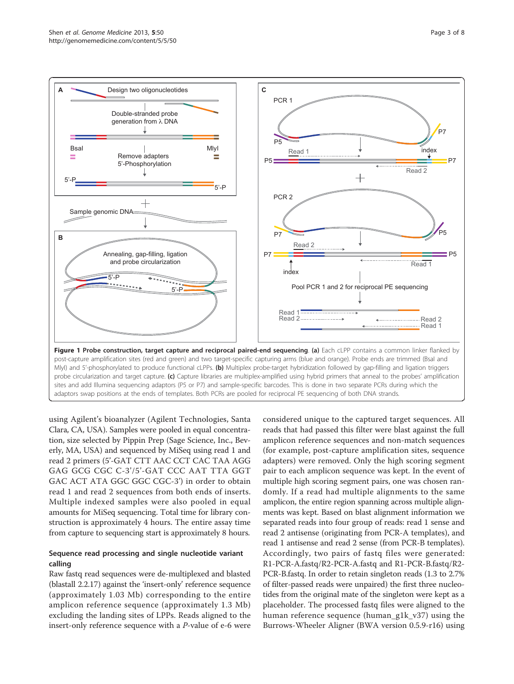<span id="page-2-0"></span>

using Agilent's bioanalyzer (Agilent Technologies, Santa Clara, CA, USA). Samples were pooled in equal concentration, size selected by Pippin Prep (Sage Science, Inc., Beverly, MA, USA) and sequenced by MiSeq using read 1 and read 2 primers (5'-GAT CTT AAC CCT CAC TAA AGG GAG GCG CGC C-3'/5'-GAT CCC AAT TTA GGT GAC ACT ATA GGC GGC CGC-3') in order to obtain read 1 and read 2 sequences from both ends of inserts. Multiple indexed samples were also pooled in equal amounts for MiSeq sequencing. Total time for library construction is approximately 4 hours. The entire assay time from capture to sequencing start is approximately 8 hours.

# Sequence read processing and single nucleotide variant calling

Raw fastq read sequences were de-multiplexed and blasted (blastall 2.2.17) against the 'insert-only' reference sequence (approximately 1.03 Mb) corresponding to the entire amplicon reference sequence (approximately 1.3 Mb) excluding the landing sites of LPPs. Reads aligned to the insert-only reference sequence with a P-value of e-6 were considered unique to the captured target sequences. All reads that had passed this filter were blast against the full amplicon reference sequences and non-match sequences (for example, post-capture amplification sites, sequence adapters) were removed. Only the high scoring segment pair to each amplicon sequence was kept. In the event of multiple high scoring segment pairs, one was chosen randomly. If a read had multiple alignments to the same amplicon, the entire region spanning across multiple alignments was kept. Based on blast alignment information we separated reads into four group of reads: read 1 sense and read 2 antisense (originating from PCR-A templates), and read 1 antisense and read 2 sense (from PCR-B templates). Accordingly, two pairs of fastq files were generated: R1-PCR-A.fastq/R2-PCR-A.fastq and R1-PCR-B.fastq/R2- PCR-B.fastq. In order to retain singleton reads (1.3 to 2.7% of filter-passed reads were unpaired) the first three nucleotides from the original mate of the singleton were kept as a placeholder. The processed fastq files were aligned to the human reference sequence (human\_g1k\_v37) using the Burrows-Wheeler Aligner (BWA version 0.5.9-r16) using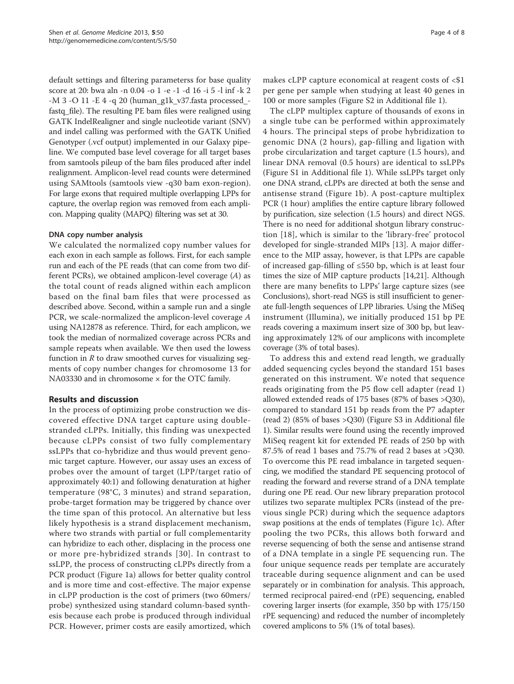default settings and filtering parameterss for base quality score at 20: bwa aln -n 0.04 -o 1 -e -1 -d 16 -i 5 -l inf -k 2 -M 3 -O 11 -E 4 -q 20 (human\_g1k\_v37.fasta processed\_ fastq\_file). The resulting PE bam files were realigned using GATK IndelRealigner and single nucleotide variant (SNV) and indel calling was performed with the GATK Unified Genotyper (.vcf output) implemented in our Galaxy pipeline. We computed base level coverage for all target bases from samtools pileup of the bam files produced after indel realignment. Amplicon-level read counts were determined using SAMtools (samtools view -q30 bam exon-region). For large exons that required multiple overlapping LPPs for capture, the overlap region was removed from each amplicon. Mapping quality (MAPQ) filtering was set at 30.

# DNA copy number analysis

We calculated the normalized copy number values for each exon in each sample as follows. First, for each sample run and each of the PE reads (that can come from two different PCRs), we obtained amplicon-level coverage  $(A)$  as the total count of reads aligned within each amplicon based on the final bam files that were processed as described above. Second, within a sample run and a single PCR, we scale-normalized the amplicon-level coverage A using NA12878 as reference. Third, for each amplicon, we took the median of normalized coverage across PCRs and sample repeats when available. We then used the lowess function in  $R$  to draw smoothed curves for visualizing segments of copy number changes for chromosome 13 for NA03330 and in chromosome × for the OTC family.

# Results and discussion

In the process of optimizing probe construction we discovered effective DNA target capture using doublestranded cLPPs. Initially, this finding was unexpected because cLPPs consist of two fully complementary ssLPPs that co-hybridize and thus would prevent genomic target capture. However, our assay uses an excess of probes over the amount of target (LPP/target ratio of approximately 40:1) and following denaturation at higher temperature (98°C, 3 minutes) and strand separation, probe-target formation may be triggered by chance over the time span of this protocol. An alternative but less likely hypothesis is a strand displacement mechanism, where two strands with partial or full complementarity can hybridize to each other, displacing in the process one or more pre-hybridized strands [[30\]](#page-7-0). In contrast to ssLPP, the process of constructing cLPPs directly from a PCR product (Figure [1a](#page-2-0)) allows for better quality control and is more time and cost-effective. The major expense in cLPP production is the cost of primers (two 60mers/ probe) synthesized using standard column-based synthesis because each probe is produced through individual PCR. However, primer costs are easily amortized, which makes cLPP capture economical at reagent costs of <\$1 per gene per sample when studying at least 40 genes in 100 or more samples (Figure S2 in Additional file [1\)](#page-6-0).

The cLPP multiplex capture of thousands of exons in a single tube can be performed within approximately 4 hours. The principal steps of probe hybridization to genomic DNA (2 hours), gap-filling and ligation with probe circularization and target capture (1.5 hours), and linear DNA removal (0.5 hours) are identical to ssLPPs (Figure S1 in Additional file [1](#page-6-0)). While ssLPPs target only one DNA strand, cLPPs are directed at both the sense and antisense strand (Figure [1b\)](#page-2-0). A post-capture multiplex PCR (1 hour) amplifies the entire capture library followed by purification, size selection (1.5 hours) and direct NGS. There is no need for additional shotgun library construction [\[18\]](#page-6-0), which is similar to the 'library-free' protocol developed for single-stranded MIPs [[13\]](#page-6-0). A major difference to the MIP assay, however, is that LPPs are capable of increased gap-filling of ≤550 bp, which is at least four times the size of MIP capture products [\[14](#page-6-0)[,21\]](#page-7-0). Although there are many benefits to LPPs' large capture sizes (see Conclusions), short-read NGS is still insufficient to generate full-length sequences of LPP libraries. Using the MiSeq instrument (Illumina), we initially produced 151 bp PE reads covering a maximum insert size of 300 bp, but leaving approximately 12% of our amplicons with incomplete coverage (3% of total bases).

To address this and extend read length, we gradually added sequencing cycles beyond the standard 151 bases generated on this instrument. We noted that sequence reads originating from the P5 flow cell adapter (read 1) allowed extended reads of 175 bases (87% of bases >Q30), compared to standard 151 bp reads from the P7 adapter (read 2) (85% of bases >Q30) (Figure S3 in Additional file [1\)](#page-6-0). Similar results were found using the recently improved MiSeq reagent kit for extended PE reads of 250 bp with 87.5% of read 1 bases and 75.7% of read 2 bases at >Q30. To overcome this PE read imbalance in targeted sequencing, we modified the standard PE sequencing protocol of reading the forward and reverse strand of a DNA template during one PE read. Our new library preparation protocol utilizes two separate multiplex PCRs (instead of the previous single PCR) during which the sequence adaptors swap positions at the ends of templates (Figure [1c](#page-2-0)). After pooling the two PCRs, this allows both forward and reverse sequencing of both the sense and antisense strand of a DNA template in a single PE sequencing run. The four unique sequence reads per template are accurately traceable during sequence alignment and can be used separately or in combination for analysis. This approach, termed reciprocal paired-end (rPE) sequencing, enabled covering larger inserts (for example, 350 bp with 175/150 rPE sequencing) and reduced the number of incompletely covered amplicons to 5% (1% of total bases).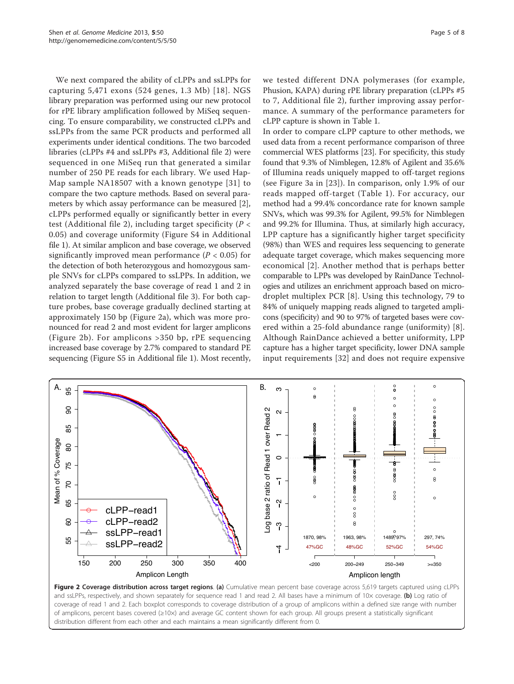We next compared the ability of cLPPs and ssLPPs for capturing 5,471 exons (524 genes, 1.3 Mb) [[18\]](#page-6-0). NGS library preparation was performed using our new protocol for rPE library amplification followed by MiSeq sequencing. To ensure comparability, we constructed cLPPs and ssLPPs from the same PCR products and performed all experiments under identical conditions. The two barcoded libraries (cLPPs #4 and ssLPPs #3, Additional file [2](#page-6-0)) were sequenced in one MiSeq run that generated a similar number of 250 PE reads for each library. We used Hap-Map sample NA18507 with a known genotype [[31](#page-7-0)] to compare the two capture methods. Based on several parameters by which assay performance can be measured [\[2](#page-6-0)], cLPPs performed equally or significantly better in every test (Additional file [2](#page-6-0)), including target specificity ( $P <$ 0.05) and coverage uniformity (Figure S4 in Additional file [1](#page-6-0)). At similar amplicon and base coverage, we observed significantly improved mean performance ( $P < 0.05$ ) for the detection of both heterozygous and homozygous sample SNVs for cLPPs compared to ssLPPs. In addition, we analyzed separately the base coverage of read 1 and 2 in relation to target length (Additional file [3](#page-6-0)). For both capture probes, base coverage gradually declined starting at approximately 150 bp (Figure 2a), which was more pronounced for read 2 and most evident for larger amplicons (Figure 2b). For amplicons >350 bp, rPE sequencing increased base coverage by 2.7% compared to standard PE sequencing (Figure S5 in Additional file [1\)](#page-6-0). Most recently,

we tested different DNA polymerases (for example, Phusion, KAPA) during rPE library preparation (cLPPs #5 to 7, Additional file [2](#page-6-0)), further improving assay performance. A summary of the performance parameters for cLPP capture is shown in Table [1](#page-5-0).

In order to compare cLPP capture to other methods, we used data from a recent performance comparison of three commercial WES platforms [[23](#page-7-0)]. For specificity, this study found that 9.3% of Nimblegen, 12.8% of Agilent and 35.6% of Illumina reads uniquely mapped to off-target regions (see Figure 3a in [[23\]](#page-7-0)). In comparison, only 1.9% of our reads mapped off-target (Table [1\)](#page-5-0). For accuracy, our method had a 99.4% concordance rate for known sample SNVs, which was 99.3% for Agilent, 99.5% for Nimblegen and 99.2% for Illumina. Thus, at similarly high accuracy, LPP capture has a significantly higher target specificity (98%) than WES and requires less sequencing to generate adequate target coverage, which makes sequencing more economical [[2\]](#page-6-0). Another method that is perhaps better comparable to LPPs was developed by RainDance Technologies and utilizes an enrichment approach based on microdroplet multiplex PCR [[8](#page-6-0)]. Using this technology, 79 to 84% of uniquely mapping reads aligned to targeted amplicons (specificity) and 90 to 97% of targeted bases were covered within a 25-fold abundance range (uniformity) [[8](#page-6-0)]. Although RainDance achieved a better uniformity, LPP capture has a higher target specificity, lower DNA sample input requirements [[32\]](#page-7-0) and does not require expensive



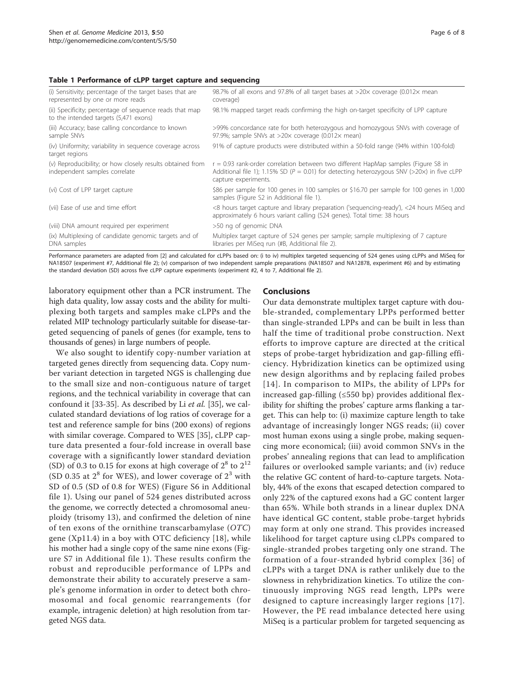#### <span id="page-5-0"></span>Table 1 Performance of cLPP target capture and sequencing

| (i) Sensitivity; percentage of the target bases that are<br>represented by one or more reads     | 98.7% of all exons and 97.8% of all target bases at >20x coverage (0.012x mean<br>coverage)                                                                                                                    |
|--------------------------------------------------------------------------------------------------|----------------------------------------------------------------------------------------------------------------------------------------------------------------------------------------------------------------|
| (ii) Specificity; percentage of sequence reads that map<br>to the intended targets (5,471 exons) | 98.1% mapped target reads confirming the high on-target specificity of LPP capture                                                                                                                             |
| (iii) Accuracy; base calling concordance to known<br>sample SNVs                                 | >99% concordance rate for both heterozygous and homozygous SNVs with coverage of<br>97.9%; sample SNVs at >20x coverage (0.012x mean)                                                                          |
| (iv) Uniformity; variability in sequence coverage across<br>target regions                       | 91% of capture products were distributed within a 50-fold range (94% within 100-fold)                                                                                                                          |
| (v) Reproducibility; or how closely results obtained from<br>independent samples correlate       | $r = 0.93$ rank-order correlation between two different HapMap samples (Figure S8 in<br>Additional file 1); 1.15% SD ( $P = 0.01$ ) for detecting heterozygous SNV (>20x) in five cLPP<br>capture experiments. |
| (vi) Cost of LPP target capture                                                                  | \$86 per sample for 100 genes in 100 samples or \$16.70 per sample for 100 genes in 1,000<br>samples (Figure S2 in Additional file 1).                                                                         |
| (vii) Ease of use and time effort                                                                | <8 hours target capture and library preparation ('sequencing-ready'), <24 hours MiSeq and<br>approximately 6 hours variant calling (524 genes). Total time: 38 hours                                           |
| (viii) DNA amount required per experiment                                                        | >50 ng of genomic DNA                                                                                                                                                                                          |
| (ix) Multiplexing of candidate genomic targets and of<br>DNA samples                             | Multiplex target capture of 524 genes per sample; sample multiplexing of 7 capture<br>libraries per MiSeg run (#B, Additional file 2).                                                                         |

Performance parameters are adapted from [[2](#page-6-0)] and calculated for cLPPs based on: (i to iv) multiplex targeted sequencing of 524 genes using cLPPs and MiSeq for NA18507 (experiment #7, Additional file [2](#page-6-0)); (v) comparison of two independent sample preparations (NA18507 and NA12878, experiment #6) and by estimating the standard deviation (SD) across five cLPP capture experiments (experiment #2, 4 to 7, Additional file [2](#page-6-0)).

laboratory equipment other than a PCR instrument. The high data quality, low assay costs and the ability for multiplexing both targets and samples make cLPPs and the related MIP technology particularly suitable for disease-targeted sequencing of panels of genes (for example, tens to thousands of genes) in large numbers of people.

We also sought to identify copy-number variation at targeted genes directly from sequencing data. Copy number variant detection in targeted NGS is challenging due to the small size and non-contiguous nature of target regions, and the technical variability in coverage that can confound it [[33](#page-7-0)-[35\]](#page-7-0). As described by Li et al. [\[35\]](#page-7-0), we calculated standard deviations of log ratios of coverage for a test and reference sample for bins (200 exons) of regions with similar coverage. Compared to WES [\[35](#page-7-0)], cLPP capture data presented a four-fold increase in overall base coverage with a significantly lower standard deviation (SD) of 0.3 to 0.15 for exons at high coverage of  $2^8$  to  $2^{12}$ (SD 0.35 at  $2^8$  for WES), and lower coverage of  $2^3$  with SD of 0.5 (SD of 0.8 for WES) (Figure S6 in Additional file [1](#page-6-0)). Using our panel of 524 genes distributed across the genome, we correctly detected a chromosomal aneuploidy (trisomy 13), and confirmed the deletion of nine of ten exons of the ornithine transcarbamylase (OTC) gene (Xp11.4) in a boy with OTC deficiency [[18\]](#page-6-0), while his mother had a single copy of the same nine exons (Figure S7 in Additional file [1](#page-6-0)). These results confirm the robust and reproducible performance of LPPs and demonstrate their ability to accurately preserve a sample's genome information in order to detect both chromosomal and focal genomic rearrangements (for example, intragenic deletion) at high resolution from targeted NGS data.

#### Conclusions

Our data demonstrate multiplex target capture with double-stranded, complementary LPPs performed better than single-stranded LPPs and can be built in less than half the time of traditional probe construction. Next efforts to improve capture are directed at the critical steps of probe-target hybridization and gap-filling efficiency. Hybridization kinetics can be optimized using new design algorithms and by replacing failed probes [[14](#page-6-0)]. In comparison to MIPs, the ability of LPPs for increased gap-filling (≤550 bp) provides additional flexibility for shifting the probes' capture arms flanking a target. This can help to: (i) maximize capture length to take advantage of increasingly longer NGS reads; (ii) cover most human exons using a single probe, making sequencing more economical; (iii) avoid common SNVs in the probes' annealing regions that can lead to amplification failures or overlooked sample variants; and (iv) reduce the relative GC content of hard-to-capture targets. Notably, 44% of the exons that escaped detection compared to only 22% of the captured exons had a GC content larger than 65%. While both strands in a linear duplex DNA have identical GC content, stable probe-target hybrids may form at only one strand. This provides increased likelihood for target capture using cLPPs compared to single-stranded probes targeting only one strand. The formation of a four-stranded hybrid complex [[36](#page-7-0)] of cLPPs with a target DNA is rather unlikely due to the slowness in rehybridization kinetics. To utilize the continuously improving NGS read length, LPPs were designed to capture increasingly larger regions [[17\]](#page-6-0). However, the PE read imbalance detected here using MiSeq is a particular problem for targeted sequencing as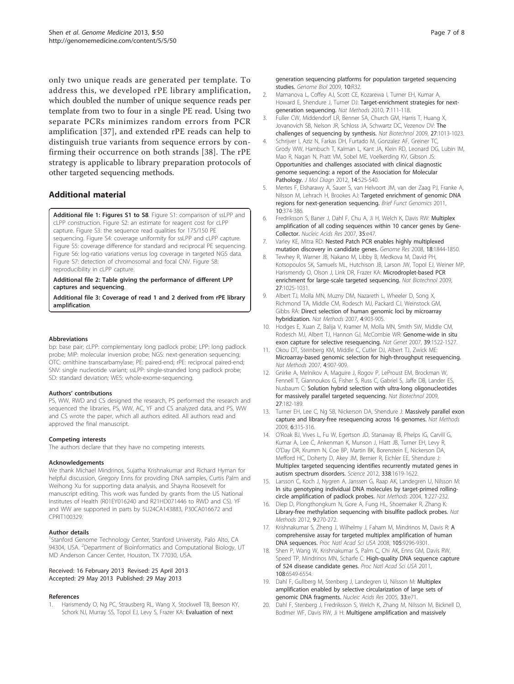<span id="page-6-0"></span>only two unique reads are generated per template. To address this, we developed rPE library amplification, which doubled the number of unique sequence reads per template from two to four in a single PE read. Using two separate PCRs minimizes random errors from PCR amplification [\[37\]](#page-7-0), and extended rPE reads can help to distinguish true variants from sequence errors by confirming their occurrence on both strands [[38](#page-7-0)]. The rPE strategy is applicable to library preparation protocols of other targeted sequencing methods.

# Additional material

[Additional file 1: F](http://www.biomedcentral.com/content/supplementary/gm454-S1.PDF)igures S1 to S8. Figure S1: comparison of ssLPP and cLPP construction. Figure S2: an estimate for reagent cost for cLPP capture. Figure S3: the sequence read qualities for 175/150 PE sequencing. Figure S4: coverage uniformity for ssLPP and cLPP capture. Figure S5: coverage difference for standard and reciprocal PE sequencing. Figure S6: log-ratio variations versus log coverage in targeted NGS data. Figure S7: detection of chromosomal and focal CNV. Figure S8: reproducibility in cLPP capture.

#### [Additional file 2: T](http://www.biomedcentral.com/content/supplementary/gm454-S2.XLS)able giving the performance of different LPP captures and sequencing.

[Additional file 3: C](http://www.biomedcentral.com/content/supplementary/gm454-S3.XLS)overage of read 1 and 2 derived from rPE library amplification.

#### **Abbreviations**

bp: base pair; cLPP: complementary long padlock probe; LPP: long padlock probe; MIP: molecular inversion probe; NGS: next-generation sequencing; OTC: ornithine transcarbamylase; PE: paired-end; rPE: reciprocal paired-end; SNV: single nucleotide variant; ssLPP: single-stranded long padlock probe; SD: standard deviation; WES: whole-exome-sequencing.

#### Authors' contributions

PS, WW, RWD and CS designed the research, PS performed the research and sequenced the libraries, PS, WW, AC, YF and CS analyzed data, and PS, WW and CS wrote the paper, which all authors edited. All authors read and approved the final manuscript.

#### Competing interests

The authors declare that they have no competing interests.

#### Acknowledgements

We thank Michael Mindrinos, Sujatha Krishnakumar and Richard Hyman for helpful discussion, Gregory Enns for providing DNA samples, Curtis Palm and Weihong Xu for supporting data analysis, and Shayna Roosevelt for manuscript editing. This work was funded by grants from the US National Institutes of Health (R01EY016240 and R21HD071446 to RWD and CS). YF and WW are supported in parts by 5U24CA143883, P30CA016672 and CPRIT100329.

#### Author details

<sup>1</sup>Stanford Genome Technology Center, Stanford University, Palo Alto, CA 94304, USA. <sup>2</sup>Department of Bioinformatics and Computational Biology, UT MD Anderson Cancer Center, Houston, TX 77030, USA.

#### Received: 16 February 2013 Revised: 25 April 2013 Accepted: 29 May 2013 Published: 29 May 2013

#### References

1. Harismendy O, Ng PC, Strausberg RL, Wang X, Stockwell TB, Beeson KY, Schork NJ, Murray SS, Topol EJ, Levy S, Frazer KA: [Evaluation of next](http://www.ncbi.nlm.nih.gov/pubmed/19327155?dopt=Abstract)

[generation sequencing platforms for population targeted sequencing](http://www.ncbi.nlm.nih.gov/pubmed/19327155?dopt=Abstract) [studies.](http://www.ncbi.nlm.nih.gov/pubmed/19327155?dopt=Abstract) Genome Biol 2009, 10:R32.

- 2. Mamanova L, Coffey AJ, Scott CE, Kozarewa I, Turner EH, Kumar A, Howard E, Shendure J, Turner DJ: [Target-enrichment strategies for next](http://www.ncbi.nlm.nih.gov/pubmed/20111037?dopt=Abstract)[generation sequencing.](http://www.ncbi.nlm.nih.gov/pubmed/20111037?dopt=Abstract) Nat Methods 2010, 7:111-118.
- 3. Fuller CW, Middendorf LR, Benner SA, Church GM, Harris T, Huang X, Jovanovich SB, Nelson JR, Schloss JA, Schwartz DC, Vezenov DV: [The](http://www.ncbi.nlm.nih.gov/pubmed/19898456?dopt=Abstract) [challenges of sequencing by synthesis.](http://www.ncbi.nlm.nih.gov/pubmed/19898456?dopt=Abstract) Nat Biotechnol 2009, 27:1013-1023.
- 4. Schrijver I, Aziz N, Farkas DH, Furtado M, Gonzalez AF, Greiner TC, Grody WW, Hambuch T, Kalman L, Kant JA, Klein RD, Leonard DG, Lubin IM, Mao R, Nagan N, Pratt VM, Sobel ME, Voelkerding KV, Gibson JS: [Opportunities and challenges associated with clinical diagnostic](http://www.ncbi.nlm.nih.gov/pubmed/22918138?dopt=Abstract) [genome sequencing: a report of the Association for Molecular](http://www.ncbi.nlm.nih.gov/pubmed/22918138?dopt=Abstract) [Pathology.](http://www.ncbi.nlm.nih.gov/pubmed/22918138?dopt=Abstract) J Mol Diagn 2012, 14:525-540.
- 5. Mertes F, Elsharawy A, Sauer S, van Helvoort JM, van der Zaag PJ, Franke A, Nilsson M, Lehrach H, Brookes AJ: [Targeted enrichment of genomic DNA](http://www.ncbi.nlm.nih.gov/pubmed/22121152?dopt=Abstract) [regions for next-generation sequencing.](http://www.ncbi.nlm.nih.gov/pubmed/22121152?dopt=Abstract) Brief Funct Genomics 2011, 10:374-386.
- 6. Fredriksson S, Baner J, Dahl F, Chu A, Ji H, Welch K, Davis RW: [Multiplex](http://www.ncbi.nlm.nih.gov/pubmed/17317684?dopt=Abstract) [amplification of all coding sequences within 10 cancer genes by Gene-](http://www.ncbi.nlm.nih.gov/pubmed/17317684?dopt=Abstract)[Collector.](http://www.ncbi.nlm.nih.gov/pubmed/17317684?dopt=Abstract) Nucleic Acids Res 2007, 35:e47.
- 7. Varley KE, Mitra RD: [Nested Patch PCR enables highly multiplexed](http://www.ncbi.nlm.nih.gov/pubmed/18849522?dopt=Abstract) [mutation discovery in candidate genes.](http://www.ncbi.nlm.nih.gov/pubmed/18849522?dopt=Abstract) Genome Res 2008, 18:1844-1850.
- 8. Tewhey R, Warner JB, Nakano M, Libby B, Medkova M, David PH, Kotsopoulos SK, Samuels ML, Hutchison JB, Larson JW, Topol EJ, Weiner MP, Harismendy O, Olson J, Link DR, Frazer KA: [Microdroplet-based PCR](http://www.ncbi.nlm.nih.gov/pubmed/19881494?dopt=Abstract) [enrichment for large-scale targeted sequencing.](http://www.ncbi.nlm.nih.gov/pubmed/19881494?dopt=Abstract) Nat Biotechnol 2009, 27:1025-1031.
- 9. Albert TJ, Molla MN, Muzny DM, Nazareth L, Wheeler D, Song X, Richmond TA, Middle CM, Rodesch MJ, Packard CJ, Weinstock GM, Gibbs RA: [Direct selection of human genomic loci by microarray](http://www.ncbi.nlm.nih.gov/pubmed/17934467?dopt=Abstract) [hybridization.](http://www.ncbi.nlm.nih.gov/pubmed/17934467?dopt=Abstract) Nat Methods 2007, 4:903-905.
- 10. Hodges E, Xuan Z, Balija V, Kramer M, Molla MN, Smith SW, Middle CM, Rodesch MJ, Albert TJ, Hannon GJ, McCombie WR: [Genome-wide in situ](http://www.ncbi.nlm.nih.gov/pubmed/17982454?dopt=Abstract) [exon capture for selective resequencing.](http://www.ncbi.nlm.nih.gov/pubmed/17982454?dopt=Abstract) Nat Genet 2007, 39:1522-1527.
- 11. Okou DT, Steinberg KM, Middle C, Cutler DJ, Albert TJ, Zwick ME: [Microarray-based genomic selection for high-throughput resequencing.](http://www.ncbi.nlm.nih.gov/pubmed/17934469?dopt=Abstract) Nat Methods 2007, 4:907-909.
- 12. Gnirke A, Melnikov A, Maguire J, Rogov P, LeProust EM, Brockman W, Fennell T, Giannoukos G, Fisher S, Russ C, Gabriel S, Jaffe DB, Lander ES, Nusbaum C: [Solution hybrid selection with ultra-long oligonucleotides](http://www.ncbi.nlm.nih.gov/pubmed/19182786?dopt=Abstract) [for massively parallel targeted sequencing.](http://www.ncbi.nlm.nih.gov/pubmed/19182786?dopt=Abstract) Nat Biotechnol 2009, 27:182-189.
- 13. Turner EH, Lee C, Ng SB, Nickerson DA, Shendure J: [Massively parallel exon](http://www.ncbi.nlm.nih.gov/pubmed/19349981?dopt=Abstract) [capture and library-free resequencing across 16 genomes.](http://www.ncbi.nlm.nih.gov/pubmed/19349981?dopt=Abstract) Nat Methods 2009, 6:315-316.
- 14. O'Roak BJ, Vives L, Fu W, Egertson JD, Stanaway IB, Phelps IG, Carvill G, Kumar A, Lee C, Ankenman K, Munson J, Hiatt JB, Turner EH, Levy R, O'Day DR, Krumm N, Coe BP, Martin BK, Borenstein E, Nickerson DA, Mefford HC, Doherty D, Akey JM, Bernier R, Eichler EE, Shendure J: [Multiplex targeted sequencing identifies recurrently mutated genes in](http://www.ncbi.nlm.nih.gov/pubmed/23160955?dopt=Abstract) [autism spectrum disorders.](http://www.ncbi.nlm.nih.gov/pubmed/23160955?dopt=Abstract) Science 2012, 338:1619-1622.
- 15. Larsson C, Koch J, Nygren A, Janssen G, Raap AK, Landegren U, Nilsson M: [In situ genotyping individual DNA molecules by target-primed rolling](http://www.ncbi.nlm.nih.gov/pubmed/15782198?dopt=Abstract)[circle amplification of padlock probes.](http://www.ncbi.nlm.nih.gov/pubmed/15782198?dopt=Abstract) Nat Methods 2004, 1:227-232.
- 16. Diep D, Plongthongkum N, Gore A, Fung HL, Shoemaker R, Zhang K: [Library-free methylation sequencing with bisulfite padlock probes.](http://www.ncbi.nlm.nih.gov/pubmed/22306810?dopt=Abstract) Nat Methods 2012, 9:270-272.
- 17. Krishnakumar S, Zheng J, Wilhelmy J, Faham M, Mindrinos M, Davis R: [A](http://www.ncbi.nlm.nih.gov/pubmed/18599465?dopt=Abstract) [comprehensive assay for targeted multiplex amplification of human](http://www.ncbi.nlm.nih.gov/pubmed/18599465?dopt=Abstract) [DNA sequences.](http://www.ncbi.nlm.nih.gov/pubmed/18599465?dopt=Abstract) Proc Natl Acad Sci USA 2008, 105:9296-9301.
- 18. Shen P, Wang W, Krishnakumar S, Palm C, Chi AK, Enns GM, Davis RW, Speed TP, Mindrinos MN, Scharfe C: [High-quality DNA sequence capture](http://www.ncbi.nlm.nih.gov/pubmed/21467225?dopt=Abstract) [of 524 disease candidate genes.](http://www.ncbi.nlm.nih.gov/pubmed/21467225?dopt=Abstract) Proc Natl Acad Sci USA 2011, 108:6549-6554.
- 19. Dahl F, Gullberg M, Stenberg J, Landegren U, Nilsson M: [Multiplex](http://www.ncbi.nlm.nih.gov/pubmed/15860768?dopt=Abstract) [amplification enabled by selective circularization of large sets of](http://www.ncbi.nlm.nih.gov/pubmed/15860768?dopt=Abstract) [genomic DNA fragments.](http://www.ncbi.nlm.nih.gov/pubmed/15860768?dopt=Abstract) Nucleic Acids Res 2005, 33:e71.
- 20. Dahl F, Stenberg J, Fredriksson S, Welch K, Zhang M, Nilsson M, Bicknell D, Bodmer WF, Davis RW, Ji H: [Multigene amplification and massively](http://www.ncbi.nlm.nih.gov/pubmed/17517648?dopt=Abstract)